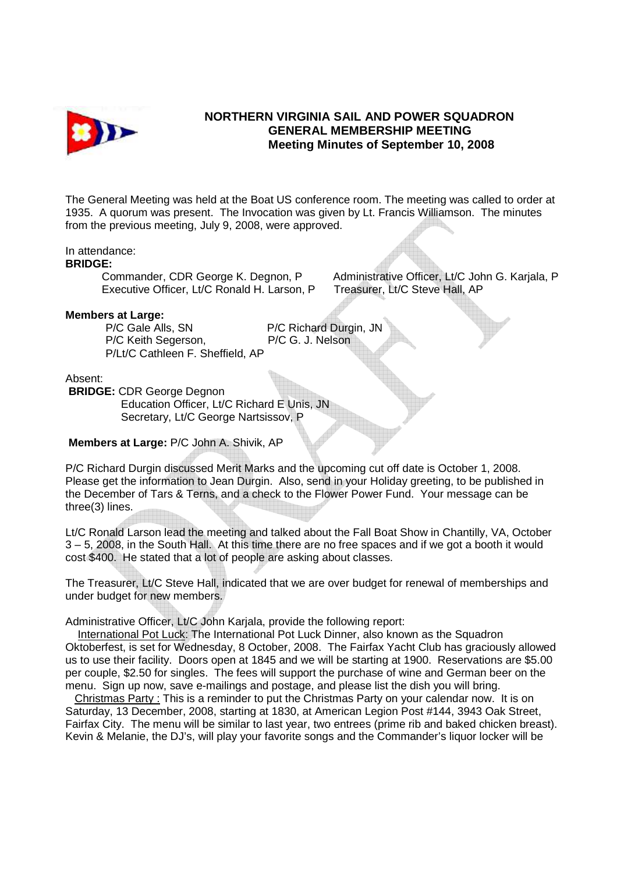

# **NORTHERN VIRGINIA SAIL AND POWER SQUADRON GENERAL MEMBERSHIP MEETING Meeting Minutes of September 10, 2008**

The General Meeting was held at the Boat US conference room. The meeting was called to order at 1935. A quorum was present. The Invocation was given by Lt. Francis Williamson. The minutes from the previous meeting, July 9, 2008, were approved.

## In attendance:

#### **BRIDGE:**

Executive Officer, Lt/C Ronald H. Larson, P Treasurer, Lt/C Steve Hall, AP

Commander, CDR George K. Degnon, P Administrative Officer, Lt/C John G. Karjala, P

### **Members at Large:**

P/C Gale Alls, SN P/C Richard Durgin, JN<br>P/C Keith Segerson, P/C G. J. Nelson P/C Keith Segerson. P/Lt/C Cathleen F. Sheffield, AP

Absent:

**BRIDGE:** CDR George Degnon Education Officer, Lt/C Richard E Unis, JN Secretary, Lt/C George Nartsissov, P

# **Members at Large:** P/C John A. Shivik, AP

P/C Richard Durgin discussed Merit Marks and the upcoming cut off date is October 1, 2008. Please get the information to Jean Durgin. Also, send in your Holiday greeting, to be published in the December of Tars & Terns, and a check to the Flower Power Fund. Your message can be three(3) lines.

Lt/C Ronald Larson lead the meeting and talked about the Fall Boat Show in Chantilly, VA, October 3 – 5, 2008, in the South Hall. At this time there are no free spaces and if we got a booth it would cost \$400. He stated that a lot of people are asking about classes.

The Treasurer, Lt/C Steve Hall, indicated that we are over budget for renewal of memberships and under budget for new members.

Administrative Officer, Lt/C John Karjala, provide the following report:

 International Pot Luck: The International Pot Luck Dinner, also known as the Squadron Oktoberfest, is set for Wednesday, 8 October, 2008. The Fairfax Yacht Club has graciously allowed us to use their facility. Doors open at 1845 and we will be starting at 1900. Reservations are \$5.00 per couple, \$2.50 for singles. The fees will support the purchase of wine and German beer on the menu. Sign up now, save e-mailings and postage, and please list the dish you will bring.

 Christmas Party : This is a reminder to put the Christmas Party on your calendar now. It is on Saturday, 13 December, 2008, starting at 1830, at American Legion Post #144, 3943 Oak Street, Fairfax City. The menu will be similar to last year, two entrees (prime rib and baked chicken breast). Kevin & Melanie, the DJ's, will play your favorite songs and the Commander's liquor locker will be